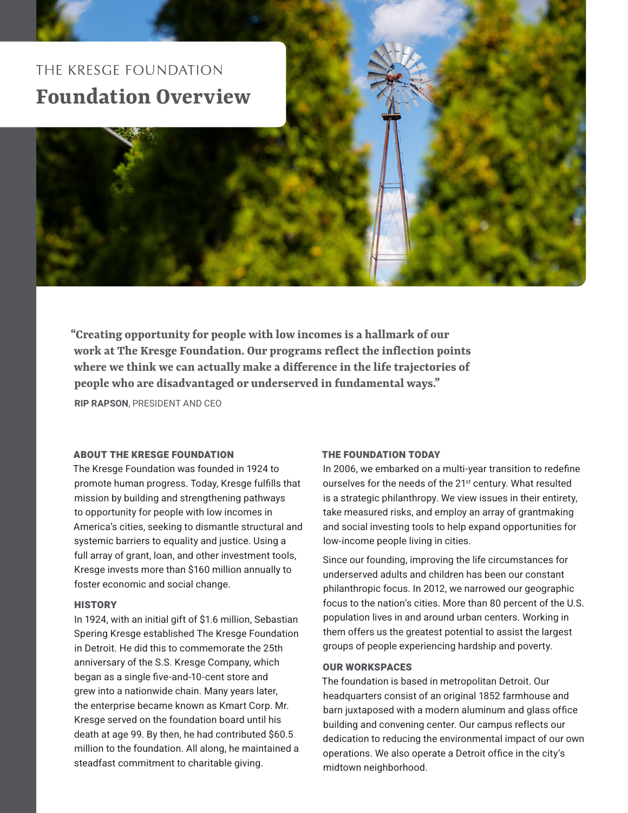

**"Creating opportunity for people with low incomes is a hallmark of our work at The Kresge Foundation. Our programs reflect the inflection points where we think we can actually make a difference in the life trajectories of people who are disadvantaged or underserved in fundamental ways."**

RIP RAPSON, PRESIDENT AND CEO

# ABOUT THE KRESGE FOUNDATION

The Kresge Foundation was founded in 1924 to promote human progress. Today, Kresge fulfills that mission by building and strengthening pathways to opportunity for people with low incomes in America's cities, seeking to dismantle structural and systemic barriers to equality and justice. Using a full array of grant, loan, and other investment tools, Kresge invests more than \$160 million annually to foster economic and social change.

## **HISTORY**

In 1924, with an initial gift of \$1.6 million, Sebastian Spering Kresge established The Kresge Foundation in Detroit. He did this to commemorate the 25th anniversary of the S.S. Kresge Company, which began as a single five-and-10-cent store and grew into a nationwide chain. Many years later, the enterprise became known as Kmart Corp. Mr. Kresge served on the foundation board until his death at age 99. By then, he had contributed \$60.5 million to the foundation. All along, he maintained a steadfast commitment to charitable giving.

### THE FOUNDATION TODAY

In 2006, we embarked on a multi-year transition to redefine ourselves for the needs of the 21<sup>st</sup> century. What resulted is a strategic philanthropy. We view issues in their entirety, take measured risks, and employ an array of grantmaking and social investing tools to help expand opportunities for low-income people living in cities.

Since our founding, improving the life circumstances for underserved adults and children has been our constant philanthropic focus. In 2012, we narrowed our geographic focus to the nation's cities. More than 80 percent of the U.S. population lives in and around urban centers. Working in them offers us the greatest potential to assist the largest groups of people experiencing hardship and poverty.

## OUR WORKSPACES

The foundation is based in metropolitan Detroit. Our headquarters consist of an original 1852 farmhouse and barn juxtaposed with a modern aluminum and glass office building and convening center. Our campus reflects our dedication to reducing the environmental impact of our own operations. We also operate a Detroit office in the city's midtown neighborhood.